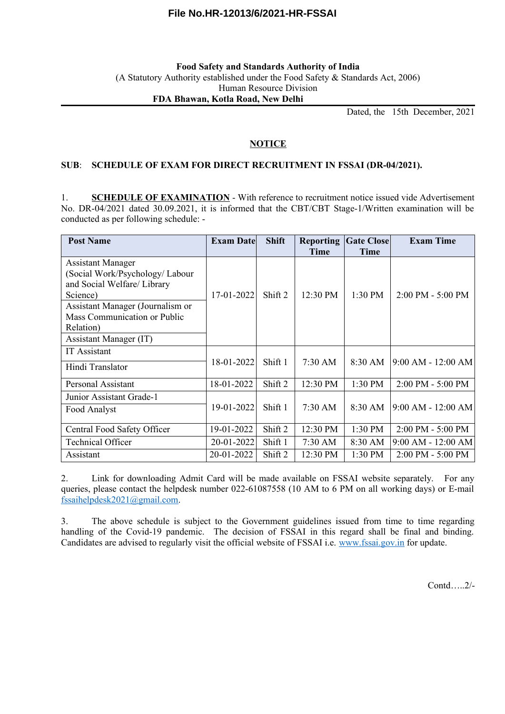# **File No.HR-12013/6/2021-HR-FSSAI**

### **Food Safety and Standards Authority of India** (A Statutory Authority established under the Food Safety & Standards Act, 2006) Human Resource Division **FDA Bhawan, Kotla Road, New Delhi**

Dated, the 15th December, 2021

### **NOTICE**

#### **SUB**: **SCHEDULE OF EXAM FOR DIRECT RECRUITMENT IN FSSAI (DR-04/2021).**

1. **SCHEDULE OF EXAMINATION** - With reference to recruitment notice issued vide Advertisement No. DR-04/2021 dated 30.09.2021, it is informed that the CBT/CBT Stage-1/Written examination will be conducted as per following schedule: -

| <b>Post Name</b>                                                                                       | <b>Exam Date</b> | <b>Shift</b>       | <b>Reporting</b><br>Time | <b>Gate Close</b><br>Time | <b>Exam Time</b>                    |
|--------------------------------------------------------------------------------------------------------|------------------|--------------------|--------------------------|---------------------------|-------------------------------------|
| <b>Assistant Manager</b><br>(Social Work/Psychology/ Labour<br>and Social Welfare/ Library<br>Science) | 17-01-2022       | Shift 2            | 12:30 PM                 | $1:30$ PM                 | 2:00 PM - 5:00 PM                   |
| Assistant Manager (Journalism or<br>Mass Communication or Public<br>Relation)                          |                  |                    |                          |                           |                                     |
| Assistant Manager (IT)                                                                                 |                  |                    |                          |                           |                                     |
| <b>IT</b> Assistant                                                                                    |                  |                    |                          |                           |                                     |
| Hindi Translator                                                                                       | 18-01-2022       | Shift 1            | 7:30 AM                  | 8:30 AM                   | $9:00$ AM - 12:00 AM                |
| Personal Assistant                                                                                     | 18-01-2022       | Shift <sub>2</sub> | 12:30 PM                 | 1:30 PM                   | $2:00$ PM - $5:00$ PM               |
| Junior Assistant Grade-1                                                                               |                  |                    |                          |                           |                                     |
| Food Analyst                                                                                           | 19-01-2022       | Shift 1            | $7:30 \text{ AM}$        | $8:30 \text{ AM}$         | $9:00$ AM - 12:00 AM                |
| Central Food Safety Officer                                                                            | 19-01-2022       | Shift <sub>2</sub> | 12:30 PM                 | 1:30 PM                   | 2:00 PM - 5:00 PM                   |
| <b>Technical Officer</b>                                                                               | 20-01-2022       | Shift 1            | 7:30 AM                  | 8:30 AM                   | $9:00$ AM - $12:00$ AM              |
| Assistant                                                                                              | 20-01-2022       | Shift <sub>2</sub> | 12:30 PM                 | 1:30 PM                   | $2:00 \text{ PM} - 5:00 \text{ PM}$ |

2. Link for downloading Admit Card will be made available on FSSAI website separately. For any queries, please contact the helpdesk number 022-61087558 (10 AM to 6 PM on all working days) or E-mail [fssaihelpdesk2021@gmail.com](mailto:fssaihelpdesk2021@gmail.com).

3. The above schedule is subject to the Government guidelines issued from time to time regarding handling of the Covid-19 pandemic. The decision of FSSAI in this regard shall be final and binding. Candidates are advised to regularly visit the official website of FSSAI i.e. [www.fssai.gov.in](http://www.fssai.gov.in/) for update.

Contd…..2/-